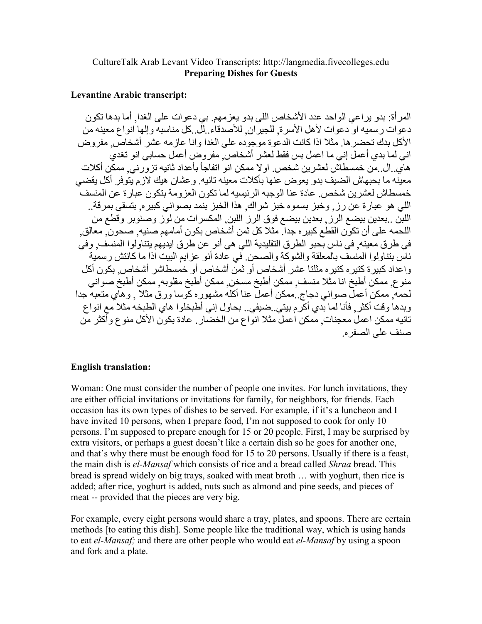## CultureTalk Arab Levant Video Transcripts: http://langmedia.fivecolleges.edu **Preparing Dishes for Guests**

## **Levantine Arabic transcript:**

المر أة: بدو يراعي الواحد عدد الأشخاص اللي بدو يعزمهم. بي دعوات على الغدا, أما بدها تكون دعوات رسميه او دعوات لأهل الأسرة. للجير ان. للأصدقاء إلى كل مناسبه وإلها انواع معينه من الأكل بدك تحضر ها. مثلا اذا كانت الدعوة موجوده على الغدا وانا عازمه عشر أشخاصٌ مفروض اني لما بدي أعمل إني ما اعمل بس فقط لعشر ِ أشخاص ٍ مفر وض أعمل حسابي انو تغدي هاي ال من خمسطاش لعشر بن شخص او لا ممكن انو اتفاجأ بأعداد ثانيه تز ور نبي ممكن أكلات معبنه ما بحبهاش الضبف بدو بعو ض عنها بأكلات معبنه تانبه ٍ و عشان هبك لاز م بِنوفر أكل بقضي خمسطاش لعشر بن شخص ٍ عادة عنا الوجبه الر نيسيه لما تكون العز و مة بتكون عبار ة عن المنسف اللَّـى هو عبار ة عن ر ز ¸ و خبز ۖ بسمو ه خبز ۖ شر اك ٍ هذا الخبز ۖ بنمد بصو انـي كبير ه ٍ بنسقى بمر قة ۖ ٍ اللبن ..بعدين بيضع الرز ٍ بعدين بيضع فوق الرز اللبن ٍ المكسرات من لوز وصنوبر وقطع من اللحمه على أن تكوَّن القطع كبير ه جداً. مثلاً كل ثمن أشخاص بكون أمامهم صنيه. صحون ۖ معالق. في طرق معينه ٍ في ناس بُحبو الطرق التقليدية اللي هي أنو عن طرق ايديهم يتناولوا المنسف ٍ وفي ناسٌ بِتناولو ا المنسفَ بِالمعلقة و الشوكة و الصحن ِ في عادة أنو ٍ عز ايم البيت اذا ما كانتش ر سمية و اعداد كبير ة كتير ه كتير ه مثلتا عشر أشخاص أو ثمن أشخاص أو خمسطاشر أشخاص بكون أكل مّنو ع ممكّن أطبخ انا مثّلا منسف ممكن أطبخ مسخن ممكن أطبخ مقلوبه ممكن أطبخ صواني لحمه ٍ ممكن أعملٌ صواني دجاج ِ ممكن أعملٌ عنا أكلهُ مشهورٍ ه كوسا ورقُ مثلا ¸ وهاي متعبهٌ جدا وبدها وقت أكثر ¸ فأنا لما بدي أكَّر م بيتي ¸ضيفي . بحاول إني أطبخلوا هاي الطبخه مثلاً مع انواع تانيه ممكن اعمل معجنات ممكن اعمل مثلا انواع من الخضار . عادة بكون الأكل منوع وأكثر من صنف على الصفر م

## **English translation:**

Woman: One must consider the number of people one invites. For lunch invitations, they are either official invitations or invitations for family, for neighbors, for friends. Each occasion has its own types of dishes to be served. For example, if it's a luncheon and I have invited 10 persons, when I prepare food, I'm not supposed to cook for only 10 persons. I'm supposed to prepare enough for 15 or 20 people. First, I may be surprised by extra visitors, or perhaps a guest doesn't like a certain dish so he goes for another one. and that's why there must be enough food for 15 to 20 persons. Usually if there is a feast, the main dish is el-Mansaf which consists of rice and a bread called *Shraa* bread. This bread is spread widely on big trays, soaked with meat broth ... with yoghurt, then rice is added; after rice, yoghurt is added, nuts such as almond and pine seeds, and pieces of meat -- provided that the pieces are very big.

For example, every eight persons would share a tray, plates, and spoons. There are certain methods [to eating this dish]. Some people like the traditional way, which is using hands to eat el-Mansaf; and there are other people who would eat el-Mansaf by using a spoon and fork and a plate.